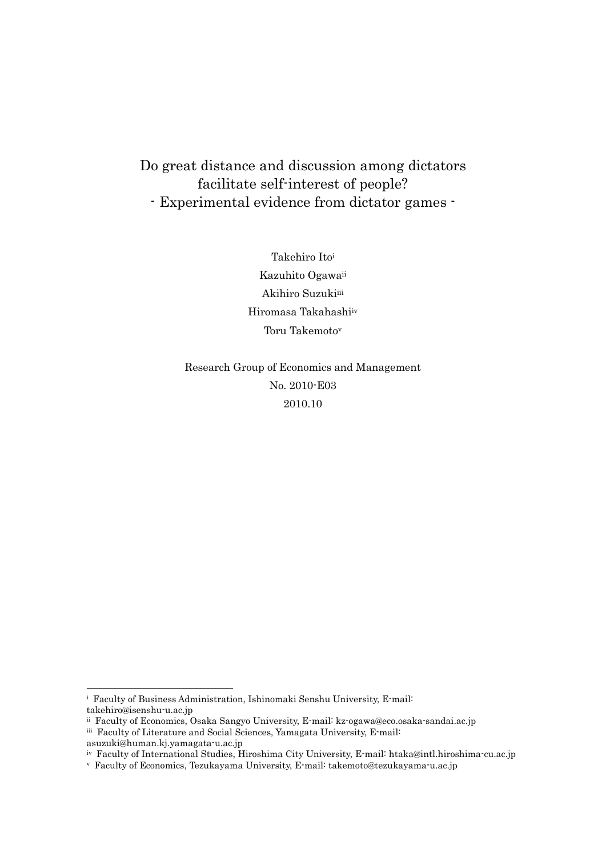# Do great distance and discussion among dictators facilitate self-interest of people? - Experimental evidence from dictator games -

Takehiro Ito<sup>i</sup> Kazuhito Ogawaii Akihiro Suzukiiii Hiromasa Takahashiiv Toru Takemoto<sup>v</sup>

Research Group of Economics and Management No. 2010-E03 2010.10

<u>.</u>

i Faculty of Business Administration, Ishinomaki Senshu University, E-mail:

takehiro@isenshu-u.ac.jp

ii Faculty of Economics, Osaka Sangyo University, E-mail: kz-ogawa@eco.osaka-sandai.ac.jp

iii Faculty of Literature and Social Sciences, Yamagata University, E-mail:

asuzuki@human.kj.yamagata-u.ac.jp

iv Faculty of International Studies, Hiroshima City University, E-mail: htaka@intl.hiroshima-cu.ac.jp

v Faculty of Economics, Tezukayama University, E-mail: takemoto@tezukayama-u.ac.jp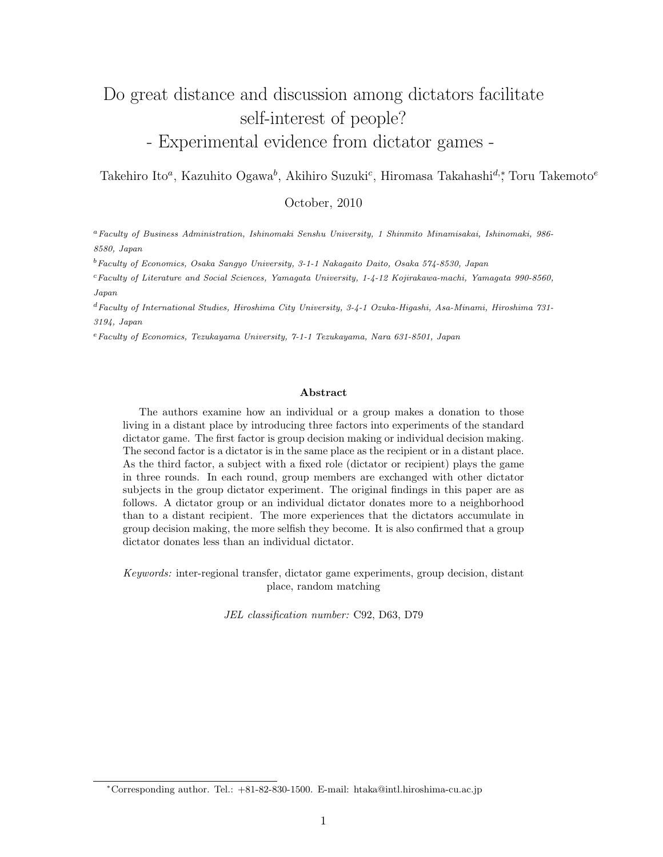# Do great distance and discussion among dictators facilitate self-interest of people? - Experimental evidence from dictator games -

Takehiro Ito*<sup>a</sup>* , Kazuhito Ogawa*<sup>b</sup>* , Akihiro Suzuki*<sup>c</sup>* , Hiromasa Takahashi*d,<sup>∗</sup>* , Toru Takemoto*<sup>e</sup>*

October, 2010

*<sup>a</sup>Faculty of Business Administration, Ishinomaki Senshu University, 1 Shinmito Minamisakai, Ishinomaki, 986- 8580, Japan*

*<sup>b</sup>Faculty of Economics, Osaka Sangyo University, 3-1-1 Nakagaito Daito, Osaka 574-8530, Japan*

*<sup>c</sup>Faculty of Literature and Social Sciences, Yamagata University, 1-4-12 Kojirakawa-machi, Yamagata 990-8560, Japan*

*<sup>d</sup>Faculty of International Studies, Hiroshima City University, 3-4-1 Ozuka-Higashi, Asa-Minami, Hiroshima 731- 3194, Japan*

*<sup>e</sup>Faculty of Economics, Tezukayama University, 7-1-1 Tezukayama, Nara 631-8501, Japan*

#### **Abstract**

The authors examine how an individual or a group makes a donation to those living in a distant place by introducing three factors into experiments of the standard dictator game. The first factor is group decision making or individual decision making. The second factor is a dictator is in the same place as the recipient or in a distant place. As the third factor, a subject with a fixed role (dictator or recipient) plays the game in three rounds. In each round, group members are exchanged with other dictator subjects in the group dictator experiment. The original findings in this paper are as follows. A dictator group or an individual dictator donates more to a neighborhood than to a distant recipient. The more experiences that the dictators accumulate in group decision making, the more selfish they become. It is also confirmed that a group dictator donates less than an individual dictator.

*Keywords:* inter-regional transfer, dictator game experiments, group decision, distant place, random matching

*JEL classification number:* C92, D63, D79

*<sup>∗</sup>*Corresponding author. Tel.: +81-82-830-1500. E-mail: htaka@intl.hiroshima-cu.ac.jp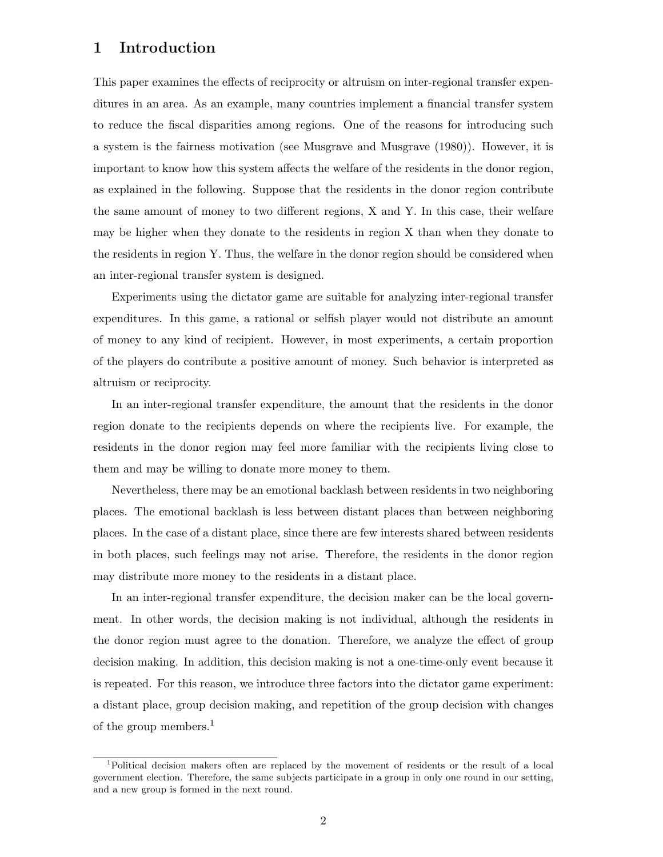### **1 Introduction**

This paper examines the effects of reciprocity or altruism on inter-regional transfer expenditures in an area. As an example, many countries implement a financial transfer system to reduce the fiscal disparities among regions. One of the reasons for introducing such a system is the fairness motivation (see Musgrave and Musgrave (1980)). However, it is important to know how this system affects the welfare of the residents in the donor region, as explained in the following. Suppose that the residents in the donor region contribute the same amount of money to two different regions, X and Y. In this case, their welfare may be higher when they donate to the residents in region X than when they donate to the residents in region Y. Thus, the welfare in the donor region should be considered when an inter-regional transfer system is designed.

Experiments using the dictator game are suitable for analyzing inter-regional transfer expenditures. In this game, a rational or selfish player would not distribute an amount of money to any kind of recipient. However, in most experiments, a certain proportion of the players do contribute a positive amount of money. Such behavior is interpreted as altruism or reciprocity.

In an inter-regional transfer expenditure, the amount that the residents in the donor region donate to the recipients depends on where the recipients live. For example, the residents in the donor region may feel more familiar with the recipients living close to them and may be willing to donate more money to them.

Nevertheless, there may be an emotional backlash between residents in two neighboring places. The emotional backlash is less between distant places than between neighboring places. In the case of a distant place, since there are few interests shared between residents in both places, such feelings may not arise. Therefore, the residents in the donor region may distribute more money to the residents in a distant place.

In an inter-regional transfer expenditure, the decision maker can be the local government. In other words, the decision making is not individual, although the residents in the donor region must agree to the donation. Therefore, we analyze the effect of group decision making. In addition, this decision making is not a one-time-only event because it is repeated. For this reason, we introduce three factors into the dictator game experiment: a distant place, group decision making, and repetition of the group decision with changes of the group members.<sup>1</sup>

<sup>1</sup>Political decision makers often are replaced by the movement of residents or the result of a local government election. Therefore, the same subjects participate in a group in only one round in our setting, and a new group is formed in the next round.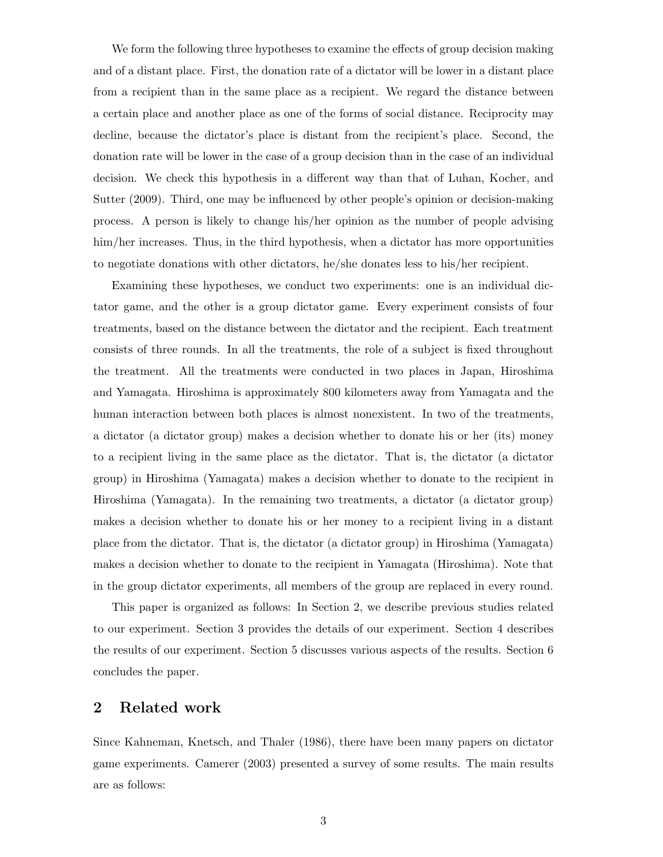We form the following three hypotheses to examine the effects of group decision making and of a distant place. First, the donation rate of a dictator will be lower in a distant place from a recipient than in the same place as a recipient. We regard the distance between a certain place and another place as one of the forms of social distance. Reciprocity may decline, because the dictator's place is distant from the recipient's place. Second, the donation rate will be lower in the case of a group decision than in the case of an individual decision. We check this hypothesis in a different way than that of Luhan, Kocher, and Sutter (2009). Third, one may be influenced by other people's opinion or decision-making process. A person is likely to change his/her opinion as the number of people advising him/her increases. Thus, in the third hypothesis, when a dictator has more opportunities to negotiate donations with other dictators, he/she donates less to his/her recipient.

Examining these hypotheses, we conduct two experiments: one is an individual dictator game, and the other is a group dictator game. Every experiment consists of four treatments, based on the distance between the dictator and the recipient. Each treatment consists of three rounds. In all the treatments, the role of a subject is fixed throughout the treatment. All the treatments were conducted in two places in Japan, Hiroshima and Yamagata. Hiroshima is approximately 800 kilometers away from Yamagata and the human interaction between both places is almost nonexistent. In two of the treatments, a dictator (a dictator group) makes a decision whether to donate his or her (its) money to a recipient living in the same place as the dictator. That is, the dictator (a dictator group) in Hiroshima (Yamagata) makes a decision whether to donate to the recipient in Hiroshima (Yamagata). In the remaining two treatments, a dictator (a dictator group) makes a decision whether to donate his or her money to a recipient living in a distant place from the dictator. That is, the dictator (a dictator group) in Hiroshima (Yamagata) makes a decision whether to donate to the recipient in Yamagata (Hiroshima). Note that in the group dictator experiments, all members of the group are replaced in every round.

This paper is organized as follows: In Section 2, we describe previous studies related to our experiment. Section 3 provides the details of our experiment. Section 4 describes the results of our experiment. Section 5 discusses various aspects of the results. Section 6 concludes the paper.

### **2 Related work**

Since Kahneman, Knetsch, and Thaler (1986), there have been many papers on dictator game experiments. Camerer (2003) presented a survey of some results. The main results are as follows: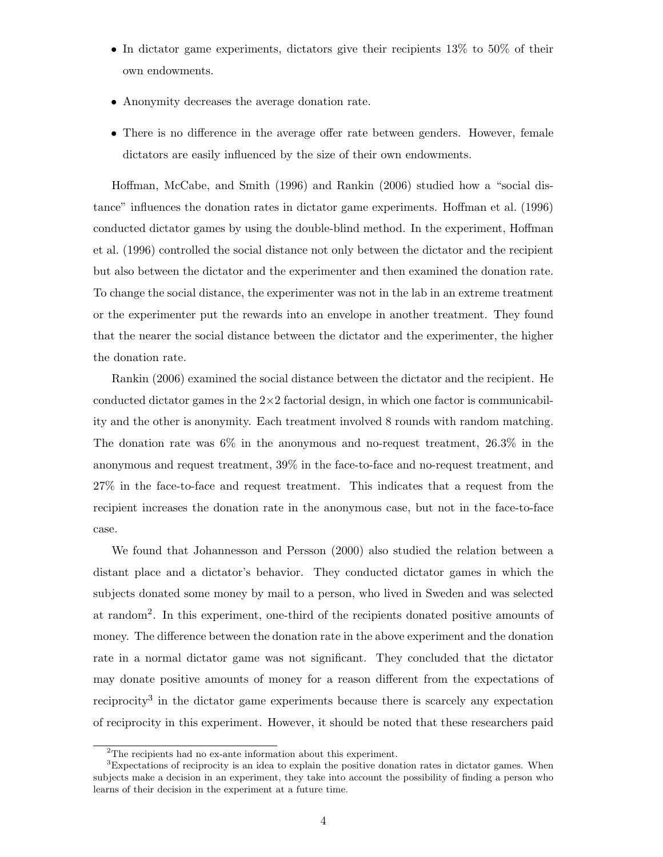- In dictator game experiments, dictators give their recipients 13\% to 50\% of their own endowments.
- Anonymity decreases the average donation rate.
- There is no difference in the average offer rate between genders. However, female dictators are easily influenced by the size of their own endowments.

Hoffman, McCabe, and Smith (1996) and Rankin (2006) studied how a "social distance" influences the donation rates in dictator game experiments. Hoffman et al. (1996) conducted dictator games by using the double-blind method. In the experiment, Hoffman et al. (1996) controlled the social distance not only between the dictator and the recipient but also between the dictator and the experimenter and then examined the donation rate. To change the social distance, the experimenter was not in the lab in an extreme treatment or the experimenter put the rewards into an envelope in another treatment. They found that the nearer the social distance between the dictator and the experimenter, the higher the donation rate.

Rankin (2006) examined the social distance between the dictator and the recipient. He conducted dictator games in the  $2\times 2$  factorial design, in which one factor is communicability and the other is anonymity. Each treatment involved 8 rounds with random matching. The donation rate was  $6\%$  in the anonymous and no-request treatment,  $26.3\%$  in the anonymous and request treatment, 39% in the face-to-face and no-request treatment, and 27% in the face-to-face and request treatment. This indicates that a request from the recipient increases the donation rate in the anonymous case, but not in the face-to-face case.

We found that Johannesson and Persson (2000) also studied the relation between a distant place and a dictator's behavior. They conducted dictator games in which the subjects donated some money by mail to a person, who lived in Sweden and was selected at random<sup>2</sup> . In this experiment, one-third of the recipients donated positive amounts of money. The difference between the donation rate in the above experiment and the donation rate in a normal dictator game was not significant. They concluded that the dictator may donate positive amounts of money for a reason different from the expectations of reciprocity<sup>3</sup> in the dictator game experiments because there is scarcely any expectation of reciprocity in this experiment. However, it should be noted that these researchers paid

<sup>&</sup>lt;sup>2</sup>The recipients had no ex-ante information about this experiment.

<sup>3</sup>Expectations of reciprocity is an idea to explain the positive donation rates in dictator games. When subjects make a decision in an experiment, they take into account the possibility of finding a person who learns of their decision in the experiment at a future time.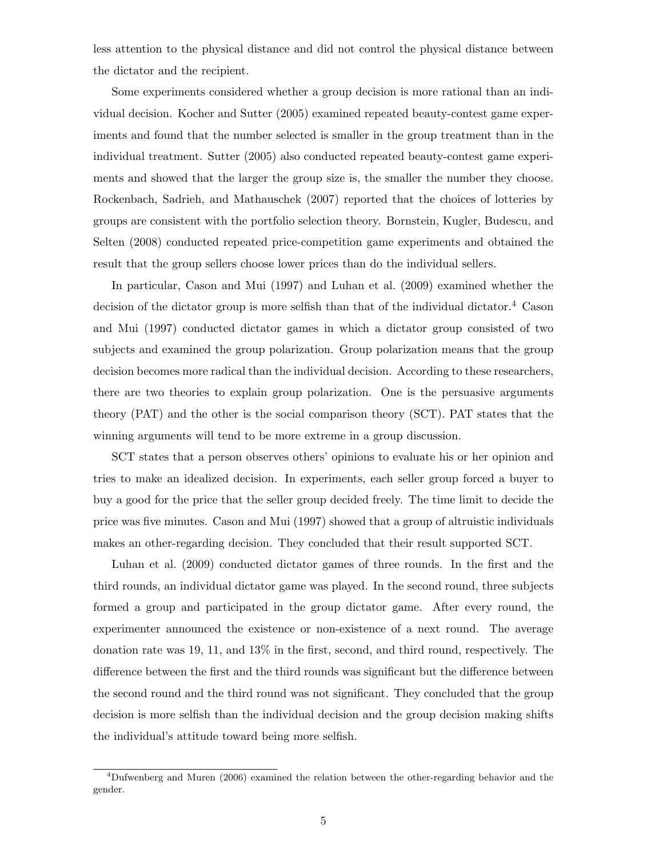less attention to the physical distance and did not control the physical distance between the dictator and the recipient.

Some experiments considered whether a group decision is more rational than an individual decision. Kocher and Sutter (2005) examined repeated beauty-contest game experiments and found that the number selected is smaller in the group treatment than in the individual treatment. Sutter (2005) also conducted repeated beauty-contest game experiments and showed that the larger the group size is, the smaller the number they choose. Rockenbach, Sadrieh, and Mathauschek (2007) reported that the choices of lotteries by groups are consistent with the portfolio selection theory. Bornstein, Kugler, Budescu, and Selten (2008) conducted repeated price-competition game experiments and obtained the result that the group sellers choose lower prices than do the individual sellers.

In particular, Cason and Mui (1997) and Luhan et al. (2009) examined whether the decision of the dictator group is more selfish than that of the individual dictator.<sup>4</sup> Cason and Mui (1997) conducted dictator games in which a dictator group consisted of two subjects and examined the group polarization. Group polarization means that the group decision becomes more radical than the individual decision. According to these researchers, there are two theories to explain group polarization. One is the persuasive arguments theory (PAT) and the other is the social comparison theory (SCT). PAT states that the winning arguments will tend to be more extreme in a group discussion.

SCT states that a person observes others' opinions to evaluate his or her opinion and tries to make an idealized decision. In experiments, each seller group forced a buyer to buy a good for the price that the seller group decided freely. The time limit to decide the price was five minutes. Cason and Mui (1997) showed that a group of altruistic individuals makes an other-regarding decision. They concluded that their result supported SCT.

Luhan et al. (2009) conducted dictator games of three rounds. In the first and the third rounds, an individual dictator game was played. In the second round, three subjects formed a group and participated in the group dictator game. After every round, the experimenter announced the existence or non-existence of a next round. The average donation rate was 19, 11, and 13% in the first, second, and third round, respectively. The difference between the first and the third rounds was significant but the difference between the second round and the third round was not significant. They concluded that the group decision is more selfish than the individual decision and the group decision making shifts the individual's attitude toward being more selfish.

<sup>4</sup>Dufwenberg and Muren (2006) examined the relation between the other-regarding behavior and the gender.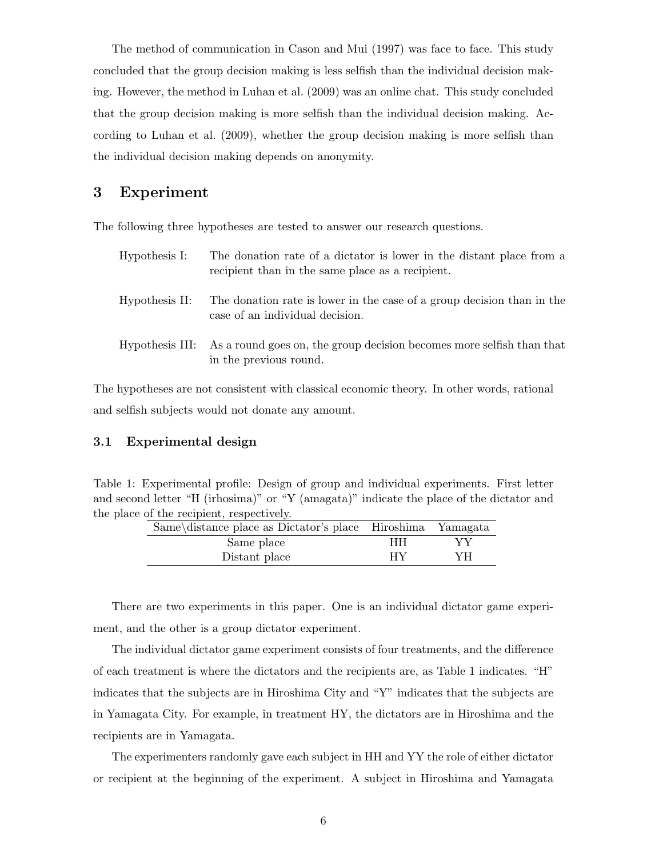The method of communication in Cason and Mui (1997) was face to face. This study concluded that the group decision making is less selfish than the individual decision making. However, the method in Luhan et al. (2009) was an online chat. This study concluded that the group decision making is more selfish than the individual decision making. According to Luhan et al. (2009), whether the group decision making is more selfish than the individual decision making depends on anonymity.

### **3 Experiment**

The following three hypotheses are tested to answer our research questions.

| Hypothesis I:  | The donation rate of a dictator is lower in the distant place from a<br>recipient than in the same place as a recipient. |
|----------------|--------------------------------------------------------------------------------------------------------------------------|
| Hypothesis II: | The donation rate is lower in the case of a group decision than in the<br>case of an individual decision.                |
|                | Hypothesis III: As a round goes on, the group decision becomes more selfish than that<br>in the previous round.          |

The hypotheses are not consistent with classical economic theory. In other words, rational and selfish subjects would not donate any amount.

### **3.1 Experimental design**

| Table 1: Experimental profile: Design of group and individual experiments. First letter  |  |
|------------------------------------------------------------------------------------------|--|
| and second letter "H (irhosima)" or "Y (amagata)" indicate the place of the dictator and |  |
| the place of the recipient, respectively.                                                |  |

| Same\distance place as Dictator's place Hiroshima Yamagata |    |    |
|------------------------------------------------------------|----|----|
| Same place                                                 | HН | YV |
| Distant place                                              | НY | YH |

There are two experiments in this paper. One is an individual dictator game experiment, and the other is a group dictator experiment.

The individual dictator game experiment consists of four treatments, and the difference of each treatment is where the dictators and the recipients are, as Table 1 indicates. "H" indicates that the subjects are in Hiroshima City and "Y" indicates that the subjects are in Yamagata City. For example, in treatment HY, the dictators are in Hiroshima and the recipients are in Yamagata.

The experimenters randomly gave each subject in HH and YY the role of either dictator or recipient at the beginning of the experiment. A subject in Hiroshima and Yamagata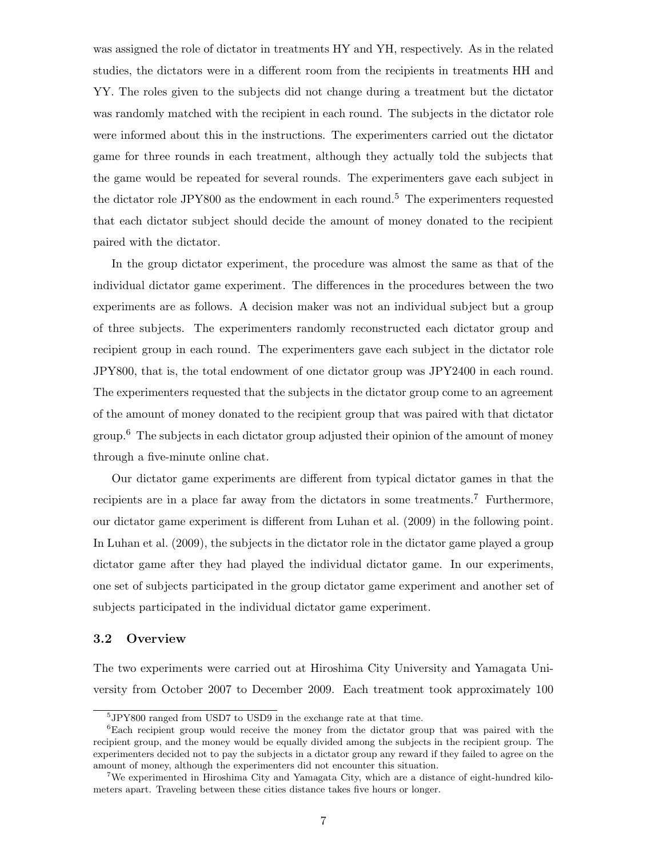was assigned the role of dictator in treatments HY and YH, respectively. As in the related studies, the dictators were in a different room from the recipients in treatments HH and YY. The roles given to the subjects did not change during a treatment but the dictator was randomly matched with the recipient in each round. The subjects in the dictator role were informed about this in the instructions. The experimenters carried out the dictator game for three rounds in each treatment, although they actually told the subjects that the game would be repeated for several rounds. The experimenters gave each subject in the dictator role JPY800 as the endowment in each round.<sup>5</sup> The experimenters requested that each dictator subject should decide the amount of money donated to the recipient paired with the dictator.

In the group dictator experiment, the procedure was almost the same as that of the individual dictator game experiment. The differences in the procedures between the two experiments are as follows. A decision maker was not an individual subject but a group of three subjects. The experimenters randomly reconstructed each dictator group and recipient group in each round. The experimenters gave each subject in the dictator role JPY800, that is, the total endowment of one dictator group was JPY2400 in each round. The experimenters requested that the subjects in the dictator group come to an agreement of the amount of money donated to the recipient group that was paired with that dictator group.<sup>6</sup> The subjects in each dictator group adjusted their opinion of the amount of money through a five-minute online chat.

Our dictator game experiments are different from typical dictator games in that the recipients are in a place far away from the dictators in some treatments.<sup>7</sup> Furthermore, our dictator game experiment is different from Luhan et al. (2009) in the following point. In Luhan et al. (2009), the subjects in the dictator role in the dictator game played a group dictator game after they had played the individual dictator game. In our experiments, one set of subjects participated in the group dictator game experiment and another set of subjects participated in the individual dictator game experiment.

### **3.2 Overview**

The two experiments were carried out at Hiroshima City University and Yamagata University from October 2007 to December 2009. Each treatment took approximately 100

<sup>5</sup> JPY800 ranged from USD7 to USD9 in the exchange rate at that time.

<sup>6</sup>Each recipient group would receive the money from the dictator group that was paired with the recipient group, and the money would be equally divided among the subjects in the recipient group. The experimenters decided not to pay the subjects in a dictator group any reward if they failed to agree on the amount of money, although the experimenters did not encounter this situation.

<sup>7</sup>We experimented in Hiroshima City and Yamagata City, which are a distance of eight-hundred kilometers apart. Traveling between these cities distance takes five hours or longer.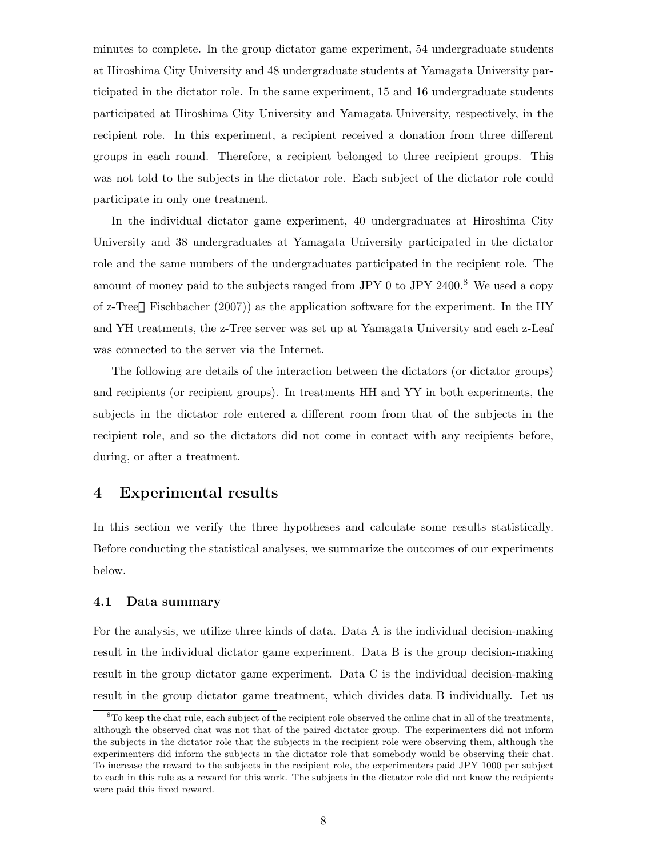minutes to complete. In the group dictator game experiment, 54 undergraduate students at Hiroshima City University and 48 undergraduate students at Yamagata University participated in the dictator role. In the same experiment, 15 and 16 undergraduate students participated at Hiroshima City University and Yamagata University, respectively, in the recipient role. In this experiment, a recipient received a donation from three different groups in each round. Therefore, a recipient belonged to three recipient groups. This was not told to the subjects in the dictator role. Each subject of the dictator role could participate in only one treatment.

In the individual dictator game experiment, 40 undergraduates at Hiroshima City University and 38 undergraduates at Yamagata University participated in the dictator role and the same numbers of the undergraduates participated in the recipient role. The amount of money paid to the subjects ranged from JPY 0 to JPY 2400.<sup>8</sup> We used a copy of z-Tree Fischbacher (2007)) as the application software for the experiment. In the HY and YH treatments, the z-Tree server was set up at Yamagata University and each z-Leaf was connected to the server via the Internet.

The following are details of the interaction between the dictators (or dictator groups) and recipients (or recipient groups). In treatments HH and YY in both experiments, the subjects in the dictator role entered a different room from that of the subjects in the recipient role, and so the dictators did not come in contact with any recipients before, during, or after a treatment.

### **4 Experimental results**

In this section we verify the three hypotheses and calculate some results statistically. Before conducting the statistical analyses, we summarize the outcomes of our experiments below.

#### **4.1 Data summary**

For the analysis, we utilize three kinds of data. Data A is the individual decision-making result in the individual dictator game experiment. Data B is the group decision-making result in the group dictator game experiment. Data C is the individual decision-making result in the group dictator game treatment, which divides data B individually. Let us

<sup>8</sup>To keep the chat rule, each subject of the recipient role observed the online chat in all of the treatments, although the observed chat was not that of the paired dictator group. The experimenters did not inform the subjects in the dictator role that the subjects in the recipient role were observing them, although the experimenters did inform the subjects in the dictator role that somebody would be observing their chat. To increase the reward to the subjects in the recipient role, the experimenters paid JPY 1000 per subject to each in this role as a reward for this work. The subjects in the dictator role did not know the recipients were paid this fixed reward.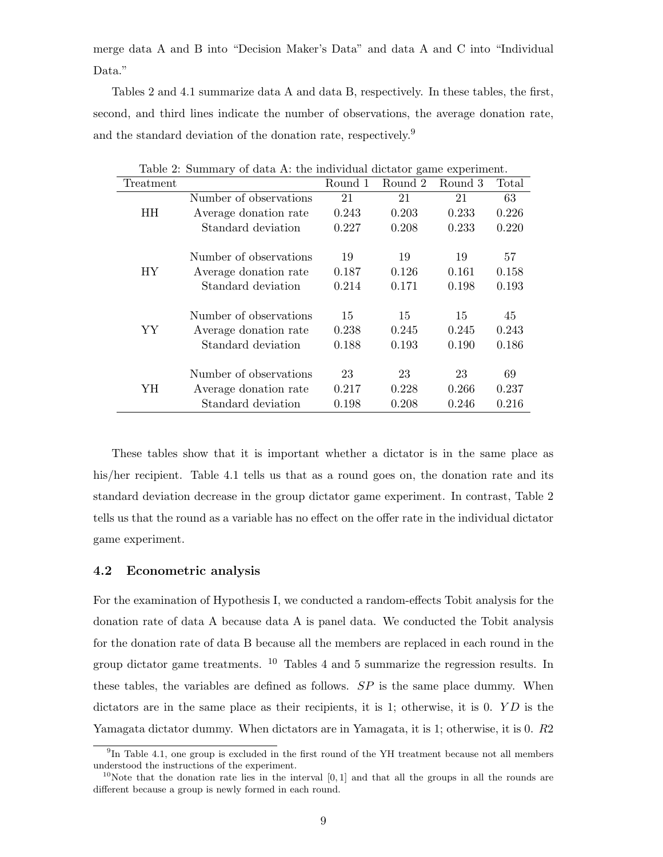merge data A and B into "Decision Maker's Data" and data A and C into "Individual Data."

Tables 2 and 4.1 summarize data A and data B, respectively. In these tables, the first, second, and third lines indicate the number of observations, the average donation rate, and the standard deviation of the donation rate, respectively.<sup>9</sup>

|           | Table 2. Summary of data A. the murvidual dictator game experiment. |         |         |         |       |
|-----------|---------------------------------------------------------------------|---------|---------|---------|-------|
| Treatment |                                                                     | Round 1 | Round 2 | Round 3 | Total |
|           | Number of observations                                              | 21      | 21      | 21      | 63    |
| HH        | Average donation rate                                               | 0.243   | 0.203   | 0.233   | 0.226 |
|           | Standard deviation                                                  | 0.227   | 0.208   | 0.233   | 0.220 |
|           |                                                                     |         |         |         |       |
|           | Number of observations                                              | 19      | 19      | 19      | 57    |
| HY.       | Average donation rate                                               | 0.187   | 0.126   | 0.161   | 0.158 |
|           | Standard deviation                                                  | 0.214   | 0.171   | 0.198   | 0.193 |
|           |                                                                     |         |         |         |       |
|           | Number of observations                                              | 15      | 15      | 15      | 45    |
| YY        | Average donation rate                                               | 0.238   | 0.245   | 0.245   | 0.243 |
|           | Standard deviation                                                  | 0.188   | 0.193   | 0.190   | 0.186 |
|           |                                                                     |         |         |         |       |
|           | Number of observations                                              | 23      | 23      | 23      | 69    |
| ΥH        | Average donation rate                                               | 0.217   | 0.228   | 0.266   | 0.237 |
|           | Standard deviation                                                  | 0.198   | 0.208   | 0.246   | 0.216 |

Table 2: Summary of data A: the individual dictator game experiment.

These tables show that it is important whether a dictator is in the same place as his/her recipient. Table 4.1 tells us that as a round goes on, the donation rate and its standard deviation decrease in the group dictator game experiment. In contrast, Table 2 tells us that the round as a variable has no effect on the offer rate in the individual dictator game experiment.

#### **4.2 Econometric analysis**

For the examination of Hypothesis I, we conducted a random-effects Tobit analysis for the donation rate of data A because data A is panel data. We conducted the Tobit analysis for the donation rate of data B because all the members are replaced in each round in the group dictator game treatments. <sup>10</sup> Tables 4 and 5 summarize the regression results. In these tables, the variables are defined as follows. *SP* is the same place dummy. When dictators are in the same place as their recipients, it is 1; otherwise, it is 0. *Y D* is the Yamagata dictator dummy. When dictators are in Yamagata, it is 1; otherwise, it is 0. *R*2

 $^{9}$ In Table 4.1, one group is excluded in the first round of the YH treatment because not all members understood the instructions of the experiment.

<sup>&</sup>lt;sup>10</sup>Note that the donation rate lies in the interval  $[0,1]$  and that all the groups in all the rounds are different because a group is newly formed in each round.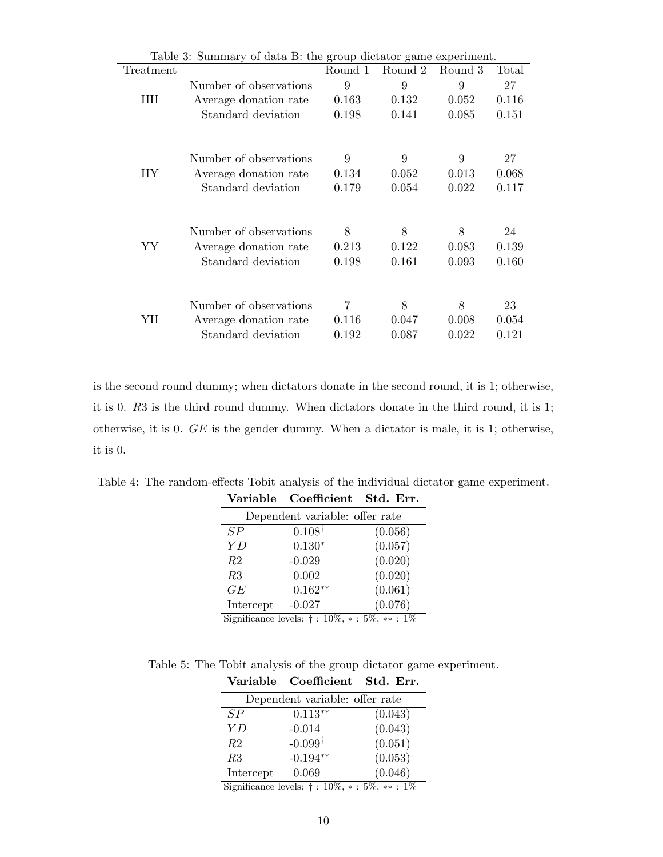| Table 3: Summary of data B: the group dictator game experiment. |                        |         |         |         |       |
|-----------------------------------------------------------------|------------------------|---------|---------|---------|-------|
| Treatment                                                       |                        | Round 1 | Round 2 | Round 3 | Total |
|                                                                 | Number of observations | 9       | 9       | 9       | 27    |
| HН                                                              | Average donation rate  | 0.163   | 0.132   | 0.052   | 0.116 |
|                                                                 | Standard deviation     | 0.198   | 0.141   | 0.085   | 0.151 |
|                                                                 |                        |         |         |         |       |
|                                                                 | Number of observations | 9       | 9       | 9       | 27    |
| НY                                                              | Average donation rate  | 0.134   | 0.052   | 0.013   | 0.068 |
|                                                                 | Standard deviation     | 0.179   | 0.054   | 0.022   | 0.117 |
|                                                                 |                        |         |         |         |       |
|                                                                 | Number of observations | 8       | 8       | 8       | 24    |
| YY                                                              | Average donation rate  | 0.213   | 0.122   | 0.083   | 0.139 |
|                                                                 | Standard deviation     | 0.198   | 0.161   | 0.093   | 0.160 |
|                                                                 |                        |         |         |         |       |
|                                                                 | Number of observations | 7       | 8       | 8       | 23    |
| YH                                                              | Average donation rate  | 0.116   | 0.047   | 0.008   | 0.054 |
|                                                                 | Standard deviation     | 0.192   | 0.087   | 0.022   | 0.121 |

is the second round dummy; when dictators donate in the second round, it is 1; otherwise, it is 0. *R*3 is the third round dummy. When dictators donate in the third round, it is 1; otherwise, it is 0. *GE* is the gender dummy. When a dictator is male, it is 1; otherwise, it is 0.

Table 4: The random-effects Tobit analysis of the individual dictator game experiment.

|                | Variable Coefficient Std. Err.                            |         |  |  |  |  |
|----------------|-----------------------------------------------------------|---------|--|--|--|--|
|                | Dependent variable: offer_rate                            |         |  |  |  |  |
| SP             | $0.108^{\dagger}$                                         | (0.056) |  |  |  |  |
| YD             | $0.130*$                                                  | (0.057) |  |  |  |  |
| R <sub>2</sub> | $-0.029$                                                  | (0.020) |  |  |  |  |
| R3             | 0.002                                                     | (0.020) |  |  |  |  |
| GE             | $0.162**$                                                 | (0.061) |  |  |  |  |
| Intercept      | $-0.027$                                                  | (0.076) |  |  |  |  |
|                | Significance levels: $\dagger$ : 10%, $*$ : 5%, $**$ : 1% |         |  |  |  |  |

Table 5: The Tobit analysis of the group dictator game experiment.

|                | Variable Coefficient Std. Err. |                                                  |  |  |  |  |
|----------------|--------------------------------|--------------------------------------------------|--|--|--|--|
|                | Dependent variable: offer_rate |                                                  |  |  |  |  |
| SP             | $0.113**$                      | (0.043)                                          |  |  |  |  |
| ΥD             | $-0.014$                       | (0.043)                                          |  |  |  |  |
| R <sub>2</sub> | $-0.099^{\dagger}$             | (0.051)                                          |  |  |  |  |
| R3             | $-0.194**$                     | (0.053)                                          |  |  |  |  |
| Intercept      | 0.069<br>.                     | (0.046)<br>$\sim$ $\sim$ $\sim$<br>$\sim$ $\sim$ |  |  |  |  |

Significance levels: *†* : 10%, *∗* : 5%, *∗∗* : 1%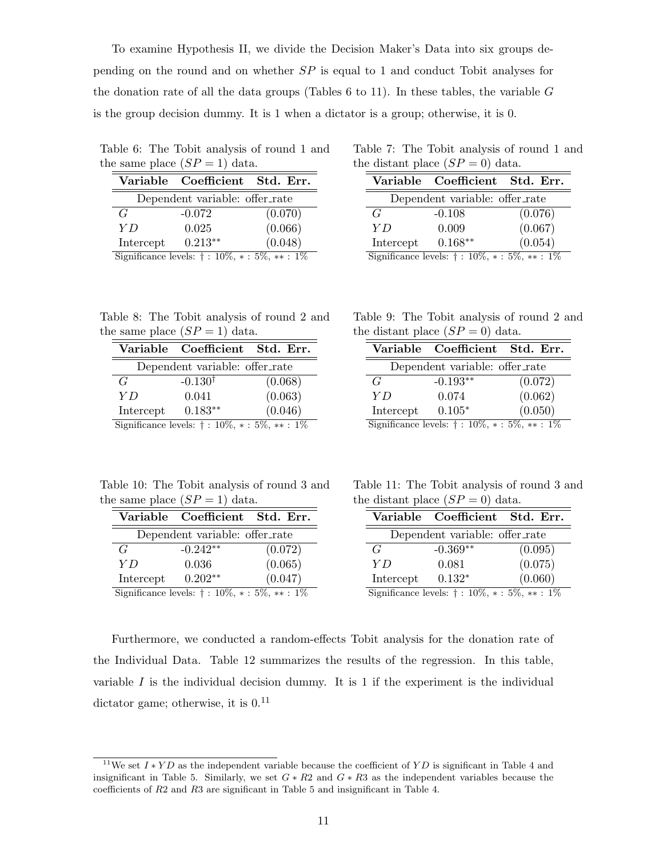To examine Hypothesis II, we divide the Decision Maker's Data into six groups depending on the round and on whether *SP* is equal to 1 and conduct Tobit analyses for the donation rate of all the data groups (Tables 6 to 11). In these tables, the variable *G* is the group decision dummy. It is 1 when a dictator is a group; otherwise, it is 0.

Table 6: The Tobit analysis of round 1 and the same place  $(SP = 1)$  data.

|           | Variable Coefficient Std. Err.                            |         |
|-----------|-----------------------------------------------------------|---------|
|           | Dependent variable: offer_rate                            |         |
| G         | $-0.072$                                                  | (0.070) |
| Y D       | 0.025                                                     | (0.066) |
| Intercept | $0.213**$                                                 | (0.048) |
|           | Significance levels: $\dagger$ : 10%, $*$ : 5%, $**$ : 1% |         |

Table 7: The Tobit analysis of round 1 and the distant place  $(SP = 0)$  data.

|           | Variable Coefficient Std. Err.                   |         |
|-----------|--------------------------------------------------|---------|
|           | Dependent variable: offer_rate                   |         |
| G         | $-0.108$                                         | (0.076) |
| ΥD        | 0.009                                            | (0.067) |
| Intercept | $0.168**$                                        | (0.054) |
|           | Significance levels $\pm 10\% + 5\% + 5\% + 1\%$ |         |

Significance levels: *†* : 10%, *∗* : 5%, *∗∗* : 1%

| Table 8: The Tobit analysis of round 2 and |  |  |  |
|--------------------------------------------|--|--|--|
| the same place $(SP = 1)$ data.            |  |  |  |

|                                                              | Variable Coefficient Std. Err. |         |  |  |  |
|--------------------------------------------------------------|--------------------------------|---------|--|--|--|
| Dependent variable: offer_rate                               |                                |         |  |  |  |
| G                                                            | $-0.130^{\dagger}$             | (0.068) |  |  |  |
| Y D                                                          | 0.041                          | (0.063) |  |  |  |
| Intercept                                                    | $0.183**$                      | (0.046) |  |  |  |
| Significance levels: $\dagger$ : 10\%, $*$ : 5\%, $**$ : 1\% |                                |         |  |  |  |

Table 9: The Tobit analysis of round 2 and the distant place  $(SP = 0)$  data.

|                                                           | Variable Coefficient Std. Err. |         |  |  |  |
|-----------------------------------------------------------|--------------------------------|---------|--|--|--|
| Dependent variable: offer_rate                            |                                |         |  |  |  |
| G                                                         | $-0.193**$                     | (0.072) |  |  |  |
| ΥD                                                        | 0.074                          | (0.062) |  |  |  |
| Intercept                                                 | $0.105*$                       | (0.050) |  |  |  |
| Significance levels: $\dagger$ : 10%, $*$ : 5%, $**$ : 1% |                                |         |  |  |  |

Table 10: The Tobit analysis of round 3 and the same place  $(SP = 1)$  data.

|                                                              | Variable Coefficient Std. Err. |         |
|--------------------------------------------------------------|--------------------------------|---------|
| Dependent variable: offer_rate                               |                                |         |
| G                                                            | $-0.242**$                     | (0.072) |
| Y D                                                          | 0.036                          | (0.065) |
| Intercept                                                    | $0.202**$                      | (0.047) |
| Significance levels: $\dagger$ : 10\%, $*$ : 5\%, $**$ : 1\% |                                |         |

Table 11: The Tobit analysis of round 3 and the distant place  $(SP = 0)$  data.

|                                                              | Variable Coefficient Std. Err. |         |
|--------------------------------------------------------------|--------------------------------|---------|
| Dependent variable: offer_rate                               |                                |         |
| G                                                            | $-0.369**$                     | (0.095) |
| Y D                                                          | 0.081                          | (0.075) |
| Intercept                                                    | $0.132*$                       | (0.060) |
| Significance levels: $\dagger$ : 10\%, $*$ : 5\%, $**$ : 1\% |                                |         |

Furthermore, we conducted a random-effects Tobit analysis for the donation rate of the Individual Data. Table 12 summarizes the results of the regression. In this table, variable  $I$  is the individual decision dummy. It is  $1$  if the experiment is the individual dictator game; otherwise, it is  $0<sup>11</sup>$ 

<sup>11</sup>We set *<sup>I</sup> <sup>∗</sup> Y D* as the independent variable because the coefficient of *Y D* is significant in Table <sup>4</sup> and insignificant in Table 5. Similarly, we set  $G * R2$  and  $G * R3$  as the independent variables because the coefficients of *R*2 and *R*3 are significant in Table 5 and insignificant in Table 4.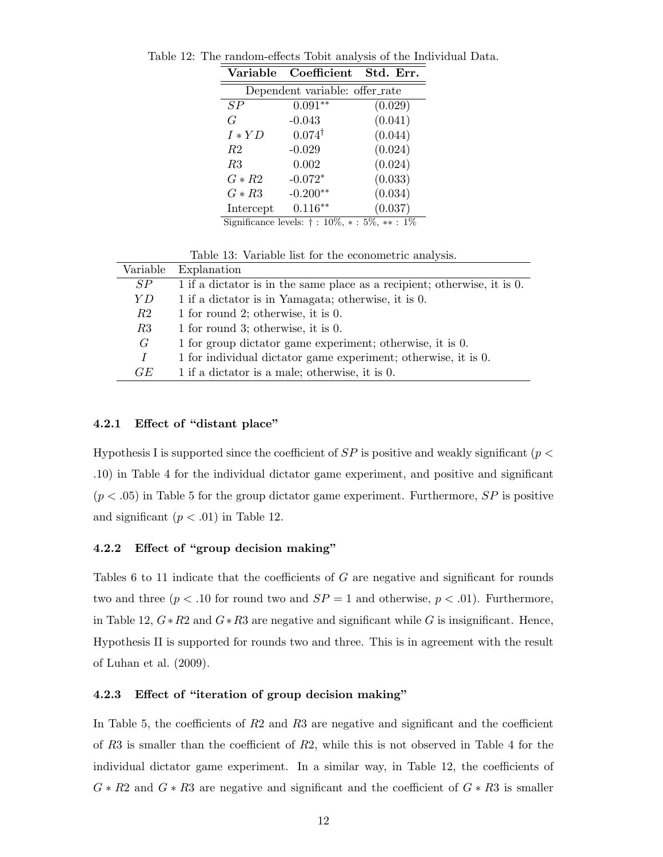| Variable                                                            | Coefficient       | Std. Err. |  |
|---------------------------------------------------------------------|-------------------|-----------|--|
| Dependent variable: offer_rate                                      |                   |           |  |
| SP                                                                  | $0.091**$         | (0.029)   |  |
| G                                                                   | $-0.043$          | (0.041)   |  |
| $I*YD$                                                              | $0.074^{\dagger}$ | (0.044)   |  |
| <i>R</i> 2                                                          | $-0.029$          | (0.024)   |  |
| R3                                                                  | 0.002             | (0.024)   |  |
| $G \ast R2$                                                         | $-0.072*$         | (0.033)   |  |
| $G * R3$                                                            | $-0.200**$        | (0.034)   |  |
| Intercept                                                           | $0.116***$        | (0.037)   |  |
| Significance levels: $\dagger : \overline{10\%, * : 5\%, ** : 1\%}$ |                   |           |  |

Table 12: The random-effects Tobit analysis of the Individual Data.

|          | Table 13: Variable list for the econometric analysis.                    |
|----------|--------------------------------------------------------------------------|
| Variable | Explanation                                                              |
| SP       | 1 if a dictator is in the same place as a recipient; otherwise, it is 0. |
| Y D      | 1 if a dictator is in Yamagata; otherwise, it is 0.                      |
| R2       | 1 for round 2; otherwise, it is $0$ .                                    |
| R3       | 1 for round 3; otherwise, it is $0$ .                                    |
| G        | 1 for group dictator game experiment; otherwise, it is 0.                |
| I        | 1 for individual dictator game experiment; otherwise, it is 0.           |
| GE       | 1 if a dictator is a male; otherwise, it is 0.                           |

### **4.2.1 Effect of "distant place"**

Hypothesis I is supported since the coefficient of *SP* is positive and weakly significant (*p < .*10) in Table 4 for the individual dictator game experiment, and positive and significant  $(p < .05)$  in Table 5 for the group dictator game experiment. Furthermore,  $SP$  is positive and significant  $(p < .01)$  in Table 12.

### **4.2.2 Effect of "group decision making"**

Tables 6 to 11 indicate that the coefficients of *G* are negative and significant for rounds two and three  $(p < .10$  for round two and  $SP = 1$  and otherwise,  $p < .01$ ). Furthermore, in Table 12,  $G * R2$  and  $G * R3$  are negative and significant while G is insignificant. Hence, Hypothesis II is supported for rounds two and three. This is in agreement with the result of Luhan et al. (2009).

#### **4.2.3 Effect of "iteration of group decision making"**

In Table 5, the coefficients of *R*2 and *R*3 are negative and significant and the coefficient of *R*3 is smaller than the coefficient of *R*2, while this is not observed in Table 4 for the individual dictator game experiment. In a similar way, in Table 12, the coefficients of *G ∗ R*2 and *G ∗ R*3 are negative and significant and the coefficient of *G ∗ R*3 is smaller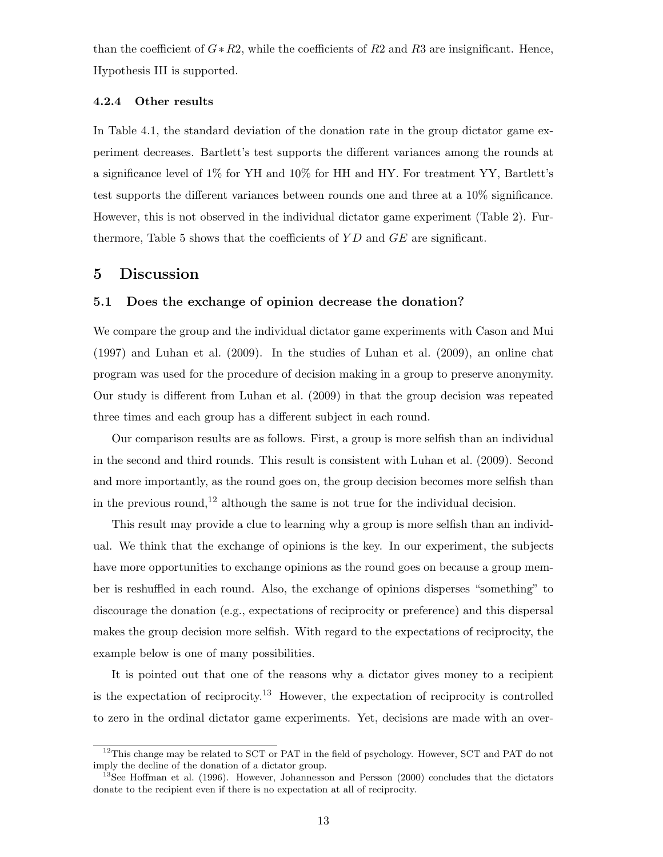than the coefficient of *G∗R*2, while the coefficients of *R*2 and *R*3 are insignificant. Hence, Hypothesis III is supported.

#### **4.2.4 Other results**

In Table 4.1, the standard deviation of the donation rate in the group dictator game experiment decreases. Bartlett's test supports the different variances among the rounds at a significance level of 1% for YH and 10% for HH and HY. For treatment YY, Bartlett's test supports the different variances between rounds one and three at a 10% significance. However, this is not observed in the individual dictator game experiment (Table 2). Furthermore, Table 5 shows that the coefficients of *Y D* and *GE* are significant.

### **5 Discussion**

#### **5.1 Does the exchange of opinion decrease the donation?**

We compare the group and the individual dictator game experiments with Cason and Mui (1997) and Luhan et al. (2009). In the studies of Luhan et al. (2009), an online chat program was used for the procedure of decision making in a group to preserve anonymity. Our study is different from Luhan et al. (2009) in that the group decision was repeated three times and each group has a different subject in each round.

Our comparison results are as follows. First, a group is more selfish than an individual in the second and third rounds. This result is consistent with Luhan et al. (2009). Second and more importantly, as the round goes on, the group decision becomes more selfish than in the previous round,<sup>12</sup> although the same is not true for the individual decision.

This result may provide a clue to learning why a group is more selfish than an individual. We think that the exchange of opinions is the key. In our experiment, the subjects have more opportunities to exchange opinions as the round goes on because a group member is reshuffled in each round. Also, the exchange of opinions disperses "something" to discourage the donation (e.g., expectations of reciprocity or preference) and this dispersal makes the group decision more selfish. With regard to the expectations of reciprocity, the example below is one of many possibilities.

It is pointed out that one of the reasons why a dictator gives money to a recipient is the expectation of reciprocity.<sup>13</sup> However, the expectation of reciprocity is controlled to zero in the ordinal dictator game experiments. Yet, decisions are made with an over-

<sup>&</sup>lt;sup>12</sup>This change may be related to SCT or PAT in the field of psychology. However, SCT and PAT do not imply the decline of the donation of a dictator group.

<sup>&</sup>lt;sup>13</sup>See Hoffman et al. (1996). However, Johannesson and Persson (2000) concludes that the dictators donate to the recipient even if there is no expectation at all of reciprocity.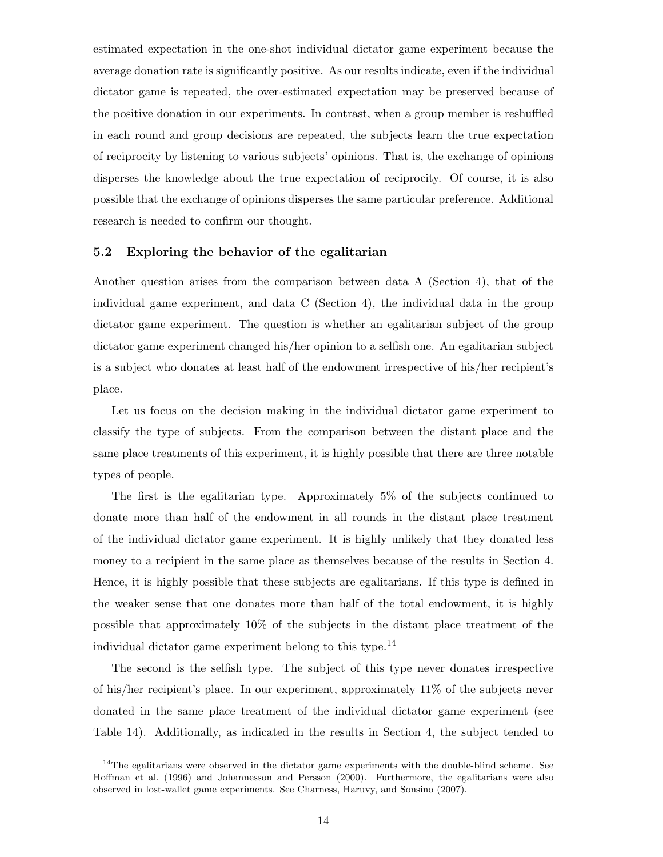estimated expectation in the one-shot individual dictator game experiment because the average donation rate is significantly positive. As our results indicate, even if the individual dictator game is repeated, the over-estimated expectation may be preserved because of the positive donation in our experiments. In contrast, when a group member is reshuffled in each round and group decisions are repeated, the subjects learn the true expectation of reciprocity by listening to various subjects' opinions. That is, the exchange of opinions disperses the knowledge about the true expectation of reciprocity. Of course, it is also possible that the exchange of opinions disperses the same particular preference. Additional research is needed to confirm our thought.

### **5.2 Exploring the behavior of the egalitarian**

Another question arises from the comparison between data A (Section 4), that of the individual game experiment, and data C (Section 4), the individual data in the group dictator game experiment. The question is whether an egalitarian subject of the group dictator game experiment changed his/her opinion to a selfish one. An egalitarian subject is a subject who donates at least half of the endowment irrespective of his/her recipient's place.

Let us focus on the decision making in the individual dictator game experiment to classify the type of subjects. From the comparison between the distant place and the same place treatments of this experiment, it is highly possible that there are three notable types of people.

The first is the egalitarian type. Approximately 5% of the subjects continued to donate more than half of the endowment in all rounds in the distant place treatment of the individual dictator game experiment. It is highly unlikely that they donated less money to a recipient in the same place as themselves because of the results in Section 4. Hence, it is highly possible that these subjects are egalitarians. If this type is defined in the weaker sense that one donates more than half of the total endowment, it is highly possible that approximately 10% of the subjects in the distant place treatment of the individual dictator game experiment belong to this type.<sup>14</sup>

The second is the selfish type. The subject of this type never donates irrespective of his/her recipient's place. In our experiment, approximately 11% of the subjects never donated in the same place treatment of the individual dictator game experiment (see Table 14). Additionally, as indicated in the results in Section 4, the subject tended to

<sup>&</sup>lt;sup>14</sup>The egalitarians were observed in the dictator game experiments with the double-blind scheme. See Hoffman et al. (1996) and Johannesson and Persson (2000). Furthermore, the egalitarians were also observed in lost-wallet game experiments. See Charness, Haruvy, and Sonsino (2007).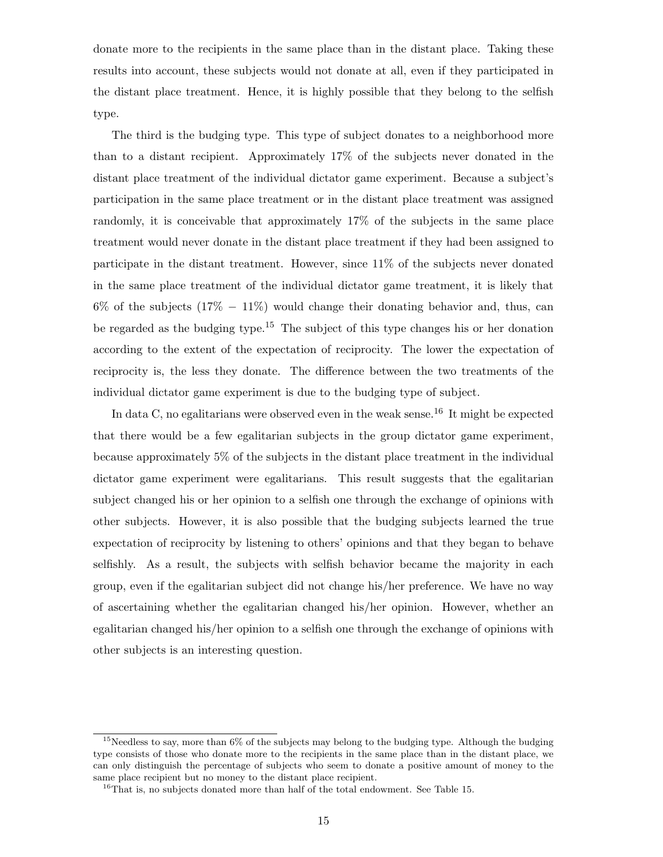donate more to the recipients in the same place than in the distant place. Taking these results into account, these subjects would not donate at all, even if they participated in the distant place treatment. Hence, it is highly possible that they belong to the selfish type.

The third is the budging type. This type of subject donates to a neighborhood more than to a distant recipient. Approximately 17% of the subjects never donated in the distant place treatment of the individual dictator game experiment. Because a subject's participation in the same place treatment or in the distant place treatment was assigned randomly, it is conceivable that approximately 17% of the subjects in the same place treatment would never donate in the distant place treatment if they had been assigned to participate in the distant treatment. However, since 11% of the subjects never donated in the same place treatment of the individual dictator game treatment, it is likely that 6% of the subjects (17% *−* 11%) would change their donating behavior and, thus, can be regarded as the budging type.<sup>15</sup> The subject of this type changes his or her donation according to the extent of the expectation of reciprocity. The lower the expectation of reciprocity is, the less they donate. The difference between the two treatments of the individual dictator game experiment is due to the budging type of subject.

In data C, no egalitarians were observed even in the weak sense.<sup>16</sup> It might be expected that there would be a few egalitarian subjects in the group dictator game experiment, because approximately 5% of the subjects in the distant place treatment in the individual dictator game experiment were egalitarians. This result suggests that the egalitarian subject changed his or her opinion to a selfish one through the exchange of opinions with other subjects. However, it is also possible that the budging subjects learned the true expectation of reciprocity by listening to others' opinions and that they began to behave selfishly. As a result, the subjects with selfish behavior became the majority in each group, even if the egalitarian subject did not change his/her preference. We have no way of ascertaining whether the egalitarian changed his/her opinion. However, whether an egalitarian changed his/her opinion to a selfish one through the exchange of opinions with other subjects is an interesting question.

<sup>&</sup>lt;sup>15</sup>Needless to say, more than 6% of the subjects may belong to the budging type. Although the budging type consists of those who donate more to the recipients in the same place than in the distant place, we can only distinguish the percentage of subjects who seem to donate a positive amount of money to the same place recipient but no money to the distant place recipient.

<sup>&</sup>lt;sup>16</sup>That is, no subjects donated more than half of the total endowment. See Table 15.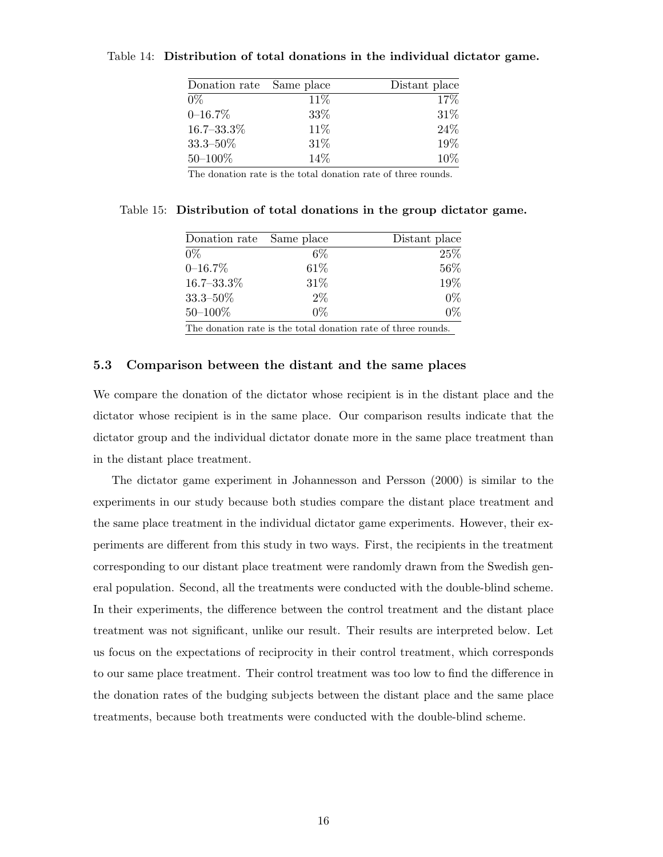| Donation rate Same place |      | Distant place |
|--------------------------|------|---------------|
| $0\%$                    | 11%  | 17%           |
| $0 - 16.7\%$             | 33%  | 31\%          |
| $16.7 - 33.3\%$          | 11\% | 24%           |
| $33.3\text{--}50\%$      | 31\% | 19%           |
| $50 - 100\%$             | 14%  | 10%           |

#### Table 14: **Distribution of total donations in the individual dictator game.**

The donation rate is the total donation rate of three rounds.

| Donation rate Same place |       | Distant place                                                 |
|--------------------------|-------|---------------------------------------------------------------|
| $0\%$                    | $6\%$ | 25\%                                                          |
| $0 - 16.7\%$             | 61\%  | 56%                                                           |
| $16.7 - 33.3\%$          | 31\%  | 19%                                                           |
| $33.3 - 50\%$            | $2\%$ | $0\%$                                                         |
| $50 - 100\%$             | $0\%$ | $0\%$                                                         |
|                          |       | The donation rate is the total donation rate of three rounds. |

Table 15: **Distribution of total donations in the group dictator game.**

#### **5.3 Comparison between the distant and the same places**

We compare the donation of the dictator whose recipient is in the distant place and the dictator whose recipient is in the same place. Our comparison results indicate that the dictator group and the individual dictator donate more in the same place treatment than in the distant place treatment.

The dictator game experiment in Johannesson and Persson (2000) is similar to the experiments in our study because both studies compare the distant place treatment and the same place treatment in the individual dictator game experiments. However, their experiments are different from this study in two ways. First, the recipients in the treatment corresponding to our distant place treatment were randomly drawn from the Swedish general population. Second, all the treatments were conducted with the double-blind scheme. In their experiments, the difference between the control treatment and the distant place treatment was not significant, unlike our result. Their results are interpreted below. Let us focus on the expectations of reciprocity in their control treatment, which corresponds to our same place treatment. Their control treatment was too low to find the difference in the donation rates of the budging subjects between the distant place and the same place treatments, because both treatments were conducted with the double-blind scheme.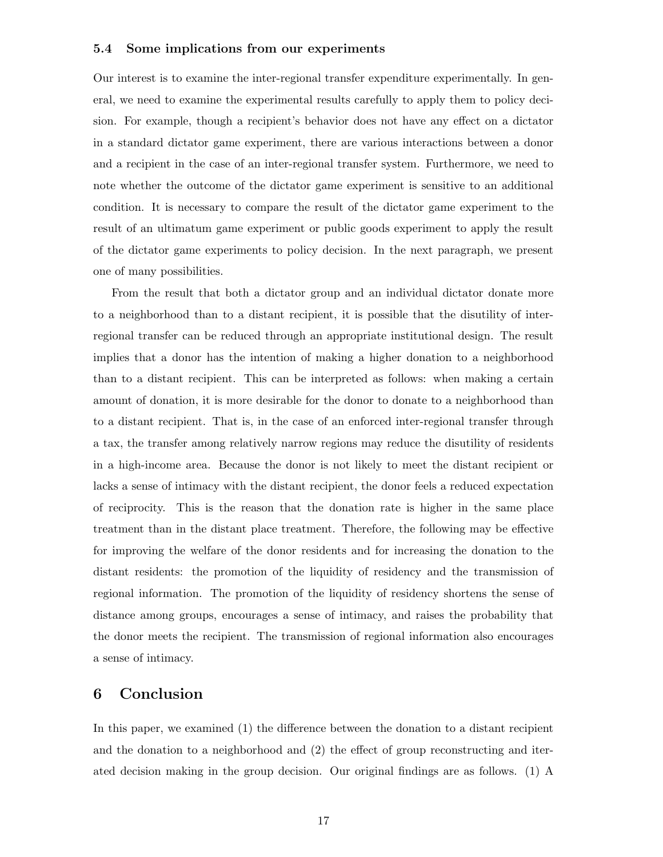#### **5.4 Some implications from our experiments**

Our interest is to examine the inter-regional transfer expenditure experimentally. In general, we need to examine the experimental results carefully to apply them to policy decision. For example, though a recipient's behavior does not have any effect on a dictator in a standard dictator game experiment, there are various interactions between a donor and a recipient in the case of an inter-regional transfer system. Furthermore, we need to note whether the outcome of the dictator game experiment is sensitive to an additional condition. It is necessary to compare the result of the dictator game experiment to the result of an ultimatum game experiment or public goods experiment to apply the result of the dictator game experiments to policy decision. In the next paragraph, we present one of many possibilities.

From the result that both a dictator group and an individual dictator donate more to a neighborhood than to a distant recipient, it is possible that the disutility of interregional transfer can be reduced through an appropriate institutional design. The result implies that a donor has the intention of making a higher donation to a neighborhood than to a distant recipient. This can be interpreted as follows: when making a certain amount of donation, it is more desirable for the donor to donate to a neighborhood than to a distant recipient. That is, in the case of an enforced inter-regional transfer through a tax, the transfer among relatively narrow regions may reduce the disutility of residents in a high-income area. Because the donor is not likely to meet the distant recipient or lacks a sense of intimacy with the distant recipient, the donor feels a reduced expectation of reciprocity. This is the reason that the donation rate is higher in the same place treatment than in the distant place treatment. Therefore, the following may be effective for improving the welfare of the donor residents and for increasing the donation to the distant residents: the promotion of the liquidity of residency and the transmission of regional information. The promotion of the liquidity of residency shortens the sense of distance among groups, encourages a sense of intimacy, and raises the probability that the donor meets the recipient. The transmission of regional information also encourages a sense of intimacy.

### **6 Conclusion**

In this paper, we examined (1) the difference between the donation to a distant recipient and the donation to a neighborhood and (2) the effect of group reconstructing and iterated decision making in the group decision. Our original findings are as follows. (1) A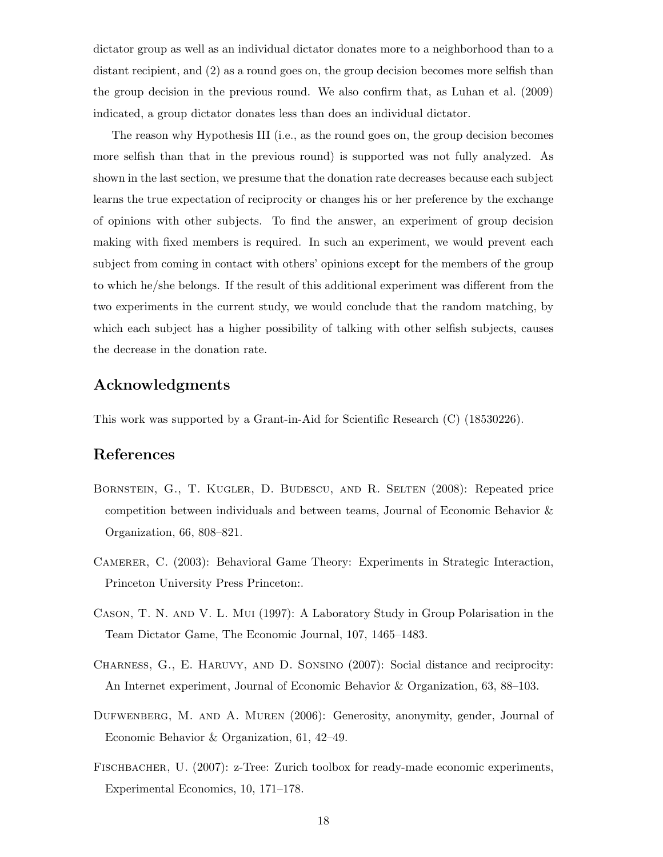dictator group as well as an individual dictator donates more to a neighborhood than to a distant recipient, and (2) as a round goes on, the group decision becomes more selfish than the group decision in the previous round. We also confirm that, as Luhan et al. (2009) indicated, a group dictator donates less than does an individual dictator.

The reason why Hypothesis III (i.e., as the round goes on, the group decision becomes more selfish than that in the previous round) is supported was not fully analyzed. As shown in the last section, we presume that the donation rate decreases because each subject learns the true expectation of reciprocity or changes his or her preference by the exchange of opinions with other subjects. To find the answer, an experiment of group decision making with fixed members is required. In such an experiment, we would prevent each subject from coming in contact with others' opinions except for the members of the group to which he/she belongs. If the result of this additional experiment was different from the two experiments in the current study, we would conclude that the random matching, by which each subject has a higher possibility of talking with other selfish subjects, causes the decrease in the donation rate.

### **Acknowledgments**

This work was supported by a Grant-in-Aid for Scientific Research (C) (18530226).

### **References**

- Bornstein, G., T. Kugler, D. Budescu, and R. Selten (2008): Repeated price competition between individuals and between teams, Journal of Economic Behavior & Organization, 66, 808–821.
- Camerer, C. (2003): Behavioral Game Theory: Experiments in Strategic Interaction, Princeton University Press Princeton:.
- Cason, T. N. and V. L. Mui (1997): A Laboratory Study in Group Polarisation in the Team Dictator Game, The Economic Journal, 107, 1465–1483.
- Charness, G., E. Haruvy, and D. Sonsino (2007): Social distance and reciprocity: An Internet experiment, Journal of Economic Behavior & Organization, 63, 88–103.
- Dufwenberg, M. and A. Muren (2006): Generosity, anonymity, gender, Journal of Economic Behavior & Organization, 61, 42–49.
- FISCHBACHER, U. (2007): z-Tree: Zurich toolbox for ready-made economic experiments, Experimental Economics, 10, 171–178.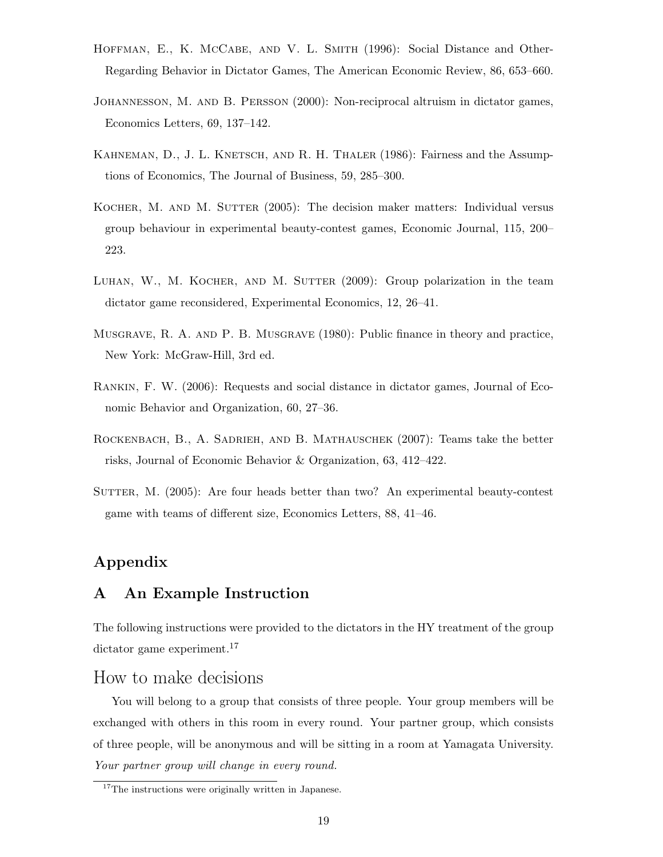- HOFFMAN, E., K. MCCABE, AND V. L. SMITH (1996): Social Distance and Other-Regarding Behavior in Dictator Games, The American Economic Review, 86, 653–660.
- Johannesson, M. and B. Persson (2000): Non-reciprocal altruism in dictator games, Economics Letters, 69, 137–142.
- KAHNEMAN, D., J. L. KNETSCH, AND R. H. THALER (1986): Fairness and the Assumptions of Economics, The Journal of Business, 59, 285–300.
- KOCHER, M. AND M. SUTTER (2005): The decision maker matters: Individual versus group behaviour in experimental beauty-contest games, Economic Journal, 115, 200– 223.
- LUHAN, W., M. KOCHER, AND M. SUTTER  $(2009)$ : Group polarization in the team dictator game reconsidered, Experimental Economics, 12, 26–41.
- Musgrave, R. A. and P. B. Musgrave (1980): Public finance in theory and practice, New York: McGraw-Hill, 3rd ed.
- Rankin, F. W. (2006): Requests and social distance in dictator games, Journal of Economic Behavior and Organization, 60, 27–36.
- Rockenbach, B., A. Sadrieh, and B. Mathauschek (2007): Teams take the better risks, Journal of Economic Behavior & Organization, 63, 412–422.
- SUTTER, M. (2005): Are four heads better than two? An experimental beauty-contest game with teams of different size, Economics Letters, 88, 41–46.

## **Appendix**

### **A An Example Instruction**

The following instructions were provided to the dictators in the HY treatment of the group dictator game experiment.<sup>17</sup>

### How to make decisions

You will belong to a group that consists of three people. Your group members will be exchanged with others in this room in every round. Your partner group, which consists of three people, will be anonymous and will be sitting in a room at Yamagata University. *Your partner group will change in every round.*

<sup>&</sup>lt;sup>17</sup>The instructions were originally written in Japanese.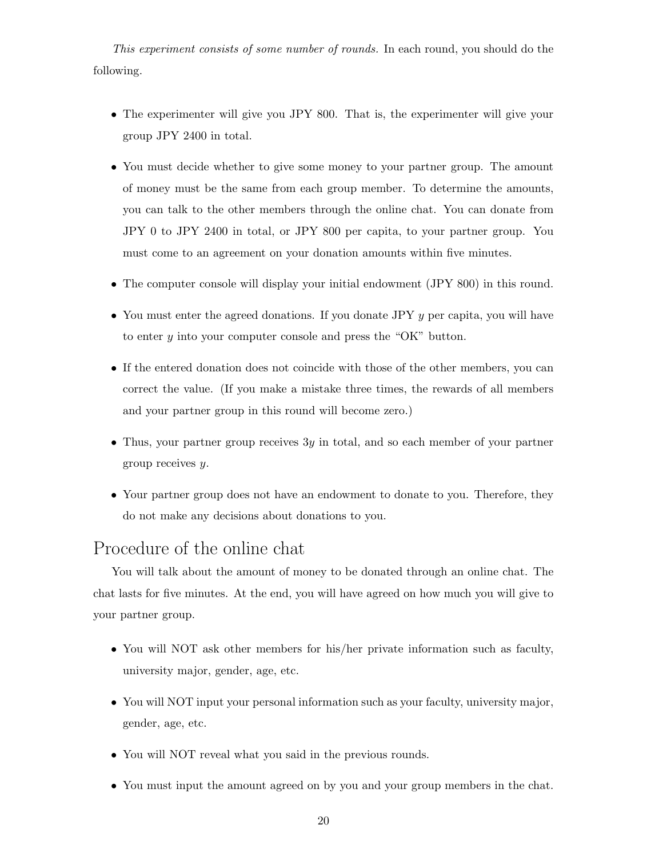*This experiment consists of some number of rounds.* In each round, you should do the following.

- The experimenter will give you JPY 800. That is, the experimenter will give your group JPY 2400 in total.
- You must decide whether to give some money to your partner group. The amount of money must be the same from each group member. To determine the amounts, you can talk to the other members through the online chat. You can donate from JPY 0 to JPY 2400 in total, or JPY 800 per capita, to your partner group. You must come to an agreement on your donation amounts within five minutes.
- The computer console will display your initial endowment (JPY 800) in this round.
- *•* You must enter the agreed donations. If you donate JPY *y* per capita, you will have to enter *y* into your computer console and press the "OK" button.
- If the entered donation does not coincide with those of the other members, you can correct the value. (If you make a mistake three times, the rewards of all members and your partner group in this round will become zero.)
- *•* Thus, your partner group receives 3*y* in total, and so each member of your partner group receives *y*.
- Your partner group does not have an endowment to donate to you. Therefore, they do not make any decisions about donations to you.

## Procedure of the online chat

You will talk about the amount of money to be donated through an online chat. The chat lasts for five minutes. At the end, you will have agreed on how much you will give to your partner group.

- *•* You will NOT ask other members for his*/*her private information such as faculty, university major, gender, age, etc.
- You will NOT input your personal information such as your faculty, university major, gender, age, etc.
- You will NOT reveal what you said in the previous rounds.
- You must input the amount agreed on by you and your group members in the chat.